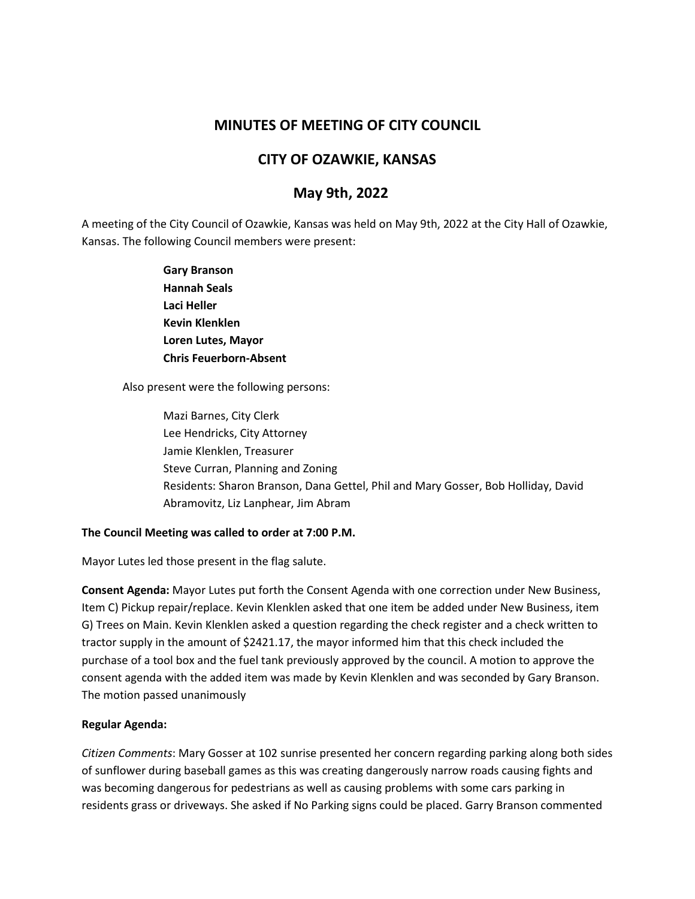## **MINUTES OF MEETING OF CITY COUNCIL**

## **CITY OF OZAWKIE, KANSAS**

## **May 9th, 2022**

A meeting of the City Council of Ozawkie, Kansas was held on May 9th, 2022 at the City Hall of Ozawkie, Kansas. The following Council members were present:

> **Gary Branson Hannah Seals Laci Heller Kevin Klenklen Loren Lutes, Mayor Chris Feuerborn-Absent**

Also present were the following persons:

Mazi Barnes, City Clerk Lee Hendricks, City Attorney Jamie Klenklen, Treasurer Steve Curran, Planning and Zoning Residents: Sharon Branson, Dana Gettel, Phil and Mary Gosser, Bob Holliday, David Abramovitz, Liz Lanphear, Jim Abram

#### **The Council Meeting was called to order at 7:00 P.M.**

Mayor Lutes led those present in the flag salute.

**Consent Agenda:** Mayor Lutes put forth the Consent Agenda with one correction under New Business, Item C) Pickup repair/replace. Kevin Klenklen asked that one item be added under New Business, item G) Trees on Main. Kevin Klenklen asked a question regarding the check register and a check written to tractor supply in the amount of \$2421.17, the mayor informed him that this check included the purchase of a tool box and the fuel tank previously approved by the council. A motion to approve the consent agenda with the added item was made by Kevin Klenklen and was seconded by Gary Branson. The motion passed unanimously

#### **Regular Agenda:**

*Citizen Comments*: Mary Gosser at 102 sunrise presented her concern regarding parking along both sides of sunflower during baseball games as this was creating dangerously narrow roads causing fights and was becoming dangerous for pedestrians as well as causing problems with some cars parking in residents grass or driveways. She asked if No Parking signs could be placed. Garry Branson commented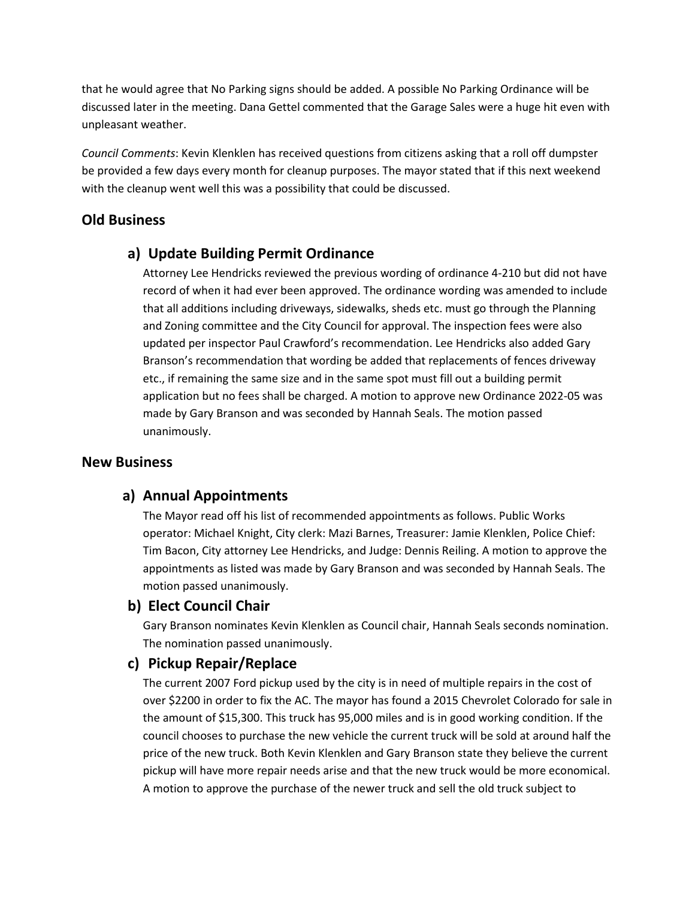that he would agree that No Parking signs should be added. A possible No Parking Ordinance will be discussed later in the meeting. Dana Gettel commented that the Garage Sales were a huge hit even with unpleasant weather.

*Council Comments*: Kevin Klenklen has received questions from citizens asking that a roll off dumpster be provided a few days every month for cleanup purposes. The mayor stated that if this next weekend with the cleanup went well this was a possibility that could be discussed.

## **Old Business**

## **a) Update Building Permit Ordinance**

Attorney Lee Hendricks reviewed the previous wording of ordinance 4-210 but did not have record of when it had ever been approved. The ordinance wording was amended to include that all additions including driveways, sidewalks, sheds etc. must go through the Planning and Zoning committee and the City Council for approval. The inspection fees were also updated per inspector Paul Crawford's recommendation. Lee Hendricks also added Gary Branson's recommendation that wording be added that replacements of fences driveway etc., if remaining the same size and in the same spot must fill out a building permit application but no fees shall be charged. A motion to approve new Ordinance 2022-05 was made by Gary Branson and was seconded by Hannah Seals. The motion passed unanimously.

### **New Business**

### **a) Annual Appointments**

The Mayor read off his list of recommended appointments as follows. Public Works operator: Michael Knight, City clerk: Mazi Barnes, Treasurer: Jamie Klenklen, Police Chief: Tim Bacon, City attorney Lee Hendricks, and Judge: Dennis Reiling. A motion to approve the appointments as listed was made by Gary Branson and was seconded by Hannah Seals. The motion passed unanimously.

### **b) Elect Council Chair**

Gary Branson nominates Kevin Klenklen as Council chair, Hannah Seals seconds nomination. The nomination passed unanimously.

### **c) Pickup Repair/Replace**

The current 2007 Ford pickup used by the city is in need of multiple repairs in the cost of over \$2200 in order to fix the AC. The mayor has found a 2015 Chevrolet Colorado for sale in the amount of \$15,300. This truck has 95,000 miles and is in good working condition. If the council chooses to purchase the new vehicle the current truck will be sold at around half the price of the new truck. Both Kevin Klenklen and Gary Branson state they believe the current pickup will have more repair needs arise and that the new truck would be more economical. A motion to approve the purchase of the newer truck and sell the old truck subject to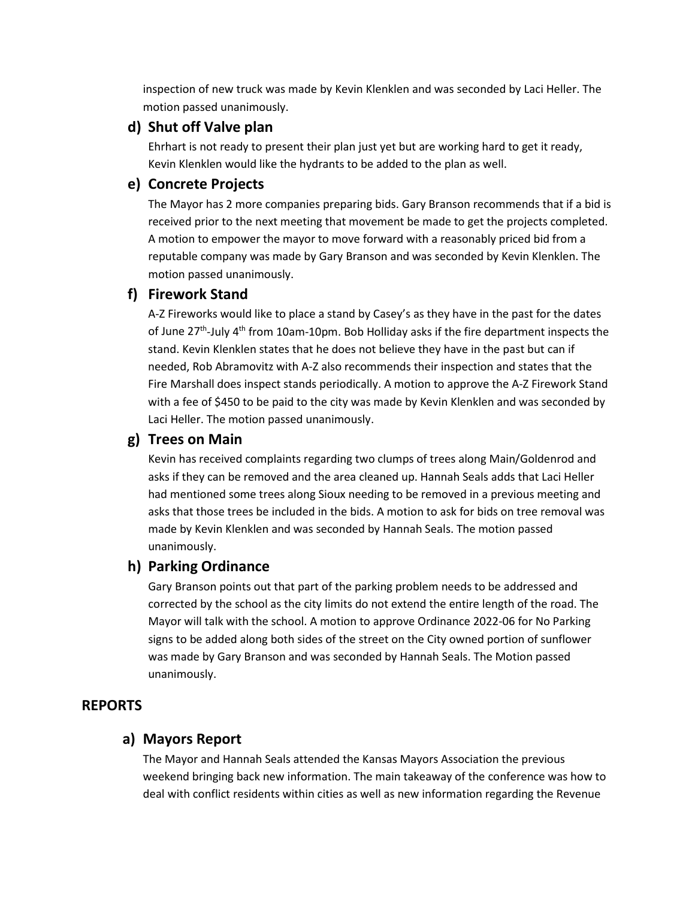inspection of new truck was made by Kevin Klenklen and was seconded by Laci Heller. The motion passed unanimously.

## **d) Shut off Valve plan**

Ehrhart is not ready to present their plan just yet but are working hard to get it ready, Kevin Klenklen would like the hydrants to be added to the plan as well.

## **e) Concrete Projects**

The Mayor has 2 more companies preparing bids. Gary Branson recommends that if a bid is received prior to the next meeting that movement be made to get the projects completed. A motion to empower the mayor to move forward with a reasonably priced bid from a reputable company was made by Gary Branson and was seconded by Kevin Klenklen. The motion passed unanimously.

# **f) Firework Stand**

A-Z Fireworks would like to place a stand by Casey's as they have in the past for the dates of June 27<sup>th</sup>-July 4<sup>th</sup> from 10am-10pm. Bob Holliday asks if the fire department inspects the stand. Kevin Klenklen states that he does not believe they have in the past but can if needed, Rob Abramovitz with A-Z also recommends their inspection and states that the Fire Marshall does inspect stands periodically. A motion to approve the A-Z Firework Stand with a fee of \$450 to be paid to the city was made by Kevin Klenklen and was seconded by Laci Heller. The motion passed unanimously.

## **g) Trees on Main**

Kevin has received complaints regarding two clumps of trees along Main/Goldenrod and asks if they can be removed and the area cleaned up. Hannah Seals adds that Laci Heller had mentioned some trees along Sioux needing to be removed in a previous meeting and asks that those trees be included in the bids. A motion to ask for bids on tree removal was made by Kevin Klenklen and was seconded by Hannah Seals. The motion passed unanimously.

# **h) Parking Ordinance**

Gary Branson points out that part of the parking problem needs to be addressed and corrected by the school as the city limits do not extend the entire length of the road. The Mayor will talk with the school. A motion to approve Ordinance 2022-06 for No Parking signs to be added along both sides of the street on the City owned portion of sunflower was made by Gary Branson and was seconded by Hannah Seals. The Motion passed unanimously.

# **REPORTS**

## **a) Mayors Report**

The Mayor and Hannah Seals attended the Kansas Mayors Association the previous weekend bringing back new information. The main takeaway of the conference was how to deal with conflict residents within cities as well as new information regarding the Revenue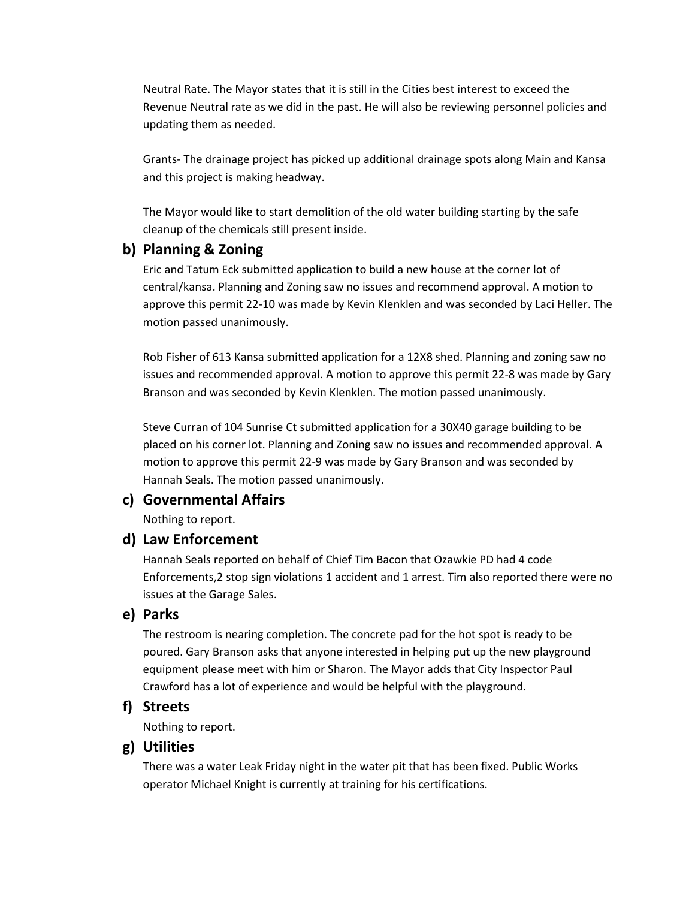Neutral Rate. The Mayor states that it is still in the Cities best interest to exceed the Revenue Neutral rate as we did in the past. He will also be reviewing personnel policies and updating them as needed.

Grants- The drainage project has picked up additional drainage spots along Main and Kansa and this project is making headway.

The Mayor would like to start demolition of the old water building starting by the safe cleanup of the chemicals still present inside.

## **b) Planning & Zoning**

Eric and Tatum Eck submitted application to build a new house at the corner lot of central/kansa. Planning and Zoning saw no issues and recommend approval. A motion to approve this permit 22-10 was made by Kevin Klenklen and was seconded by Laci Heller. The motion passed unanimously.

Rob Fisher of 613 Kansa submitted application for a 12X8 shed. Planning and zoning saw no issues and recommended approval. A motion to approve this permit 22-8 was made by Gary Branson and was seconded by Kevin Klenklen. The motion passed unanimously.

Steve Curran of 104 Sunrise Ct submitted application for a 30X40 garage building to be placed on his corner lot. Planning and Zoning saw no issues and recommended approval. A motion to approve this permit 22-9 was made by Gary Branson and was seconded by Hannah Seals. The motion passed unanimously.

### **c) Governmental Affairs**

Nothing to report.

## **d) Law Enforcement**

Hannah Seals reported on behalf of Chief Tim Bacon that Ozawkie PD had 4 code Enforcements,2 stop sign violations 1 accident and 1 arrest. Tim also reported there were no issues at the Garage Sales.

## **e) Parks**

The restroom is nearing completion. The concrete pad for the hot spot is ready to be poured. Gary Branson asks that anyone interested in helping put up the new playground equipment please meet with him or Sharon. The Mayor adds that City Inspector Paul Crawford has a lot of experience and would be helpful with the playground.

## **f) Streets**

Nothing to report.

## **g) Utilities**

There was a water Leak Friday night in the water pit that has been fixed. Public Works operator Michael Knight is currently at training for his certifications.